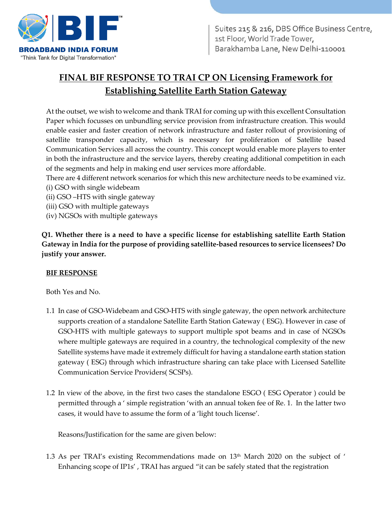

# **FINAL BIF RESPONSE TO TRAI CP ON Licensing Framework for Establishing Satellite Earth Station Gateway**

At the outset, we wish to welcome and thank TRAI for coming up with this excellent Consultation Paper which focusses on unbundling service provision from infrastructure creation. This would enable easier and faster creation of network infrastructure and faster rollout of provisioning of satellite transponder capacity, which is necessary for proliferation of Satellite based Communication Services all across the country. This concept would enable more players to enter in both the infrastructure and the service layers, thereby creating additional competition in each of the segments and help in making end user services more affordable.

- There are 4 different network scenarios for which this new architecture needs to be examined viz.
- (i) GSO with single widebeam
- (ii) GSO –HTS with single gateway
- (iii) GSO with multiple gateways
- (iv) NGSOs with multiple gateways

**Q1. Whether there is a need to have a specific license for establishing satellite Earth Station Gateway in India for the purpose of providing satellite-based resources to service licensees? Do justify your answer.** 

## **BIF RESPONSE**

Both Yes and No.

- 1.1 In case of GSO-Widebeam and GSO-HTS with single gateway, the open network architecture supports creation of a standalone Satellite Earth Station Gateway ( ESG). However in case of GSO-HTS with multiple gateways to support multiple spot beams and in case of NGSOs where multiple gateways are required in a country, the technological complexity of the new Satellite systems have made it extremely difficult for having a standalone earth station station gateway ( ESG) through which infrastructure sharing can take place with Licensed Satellite Communication Service Providers( SCSPs).
- 1.2 In view of the above, in the first two cases the standalone ESGO ( ESG Operator ) could be permitted through a ' simple registration 'with an annual token fee of Re. 1. In the latter two cases, it would have to assume the form of a 'light touch license'.

Reasons/Justification for the same are given below:

1.3 As per TRAI's existing Recommendations made on  $13<sup>th</sup>$  March 2020 on the subject of ' Enhancing scope of IP1s' , TRAI has argued "it can be safely stated that the registration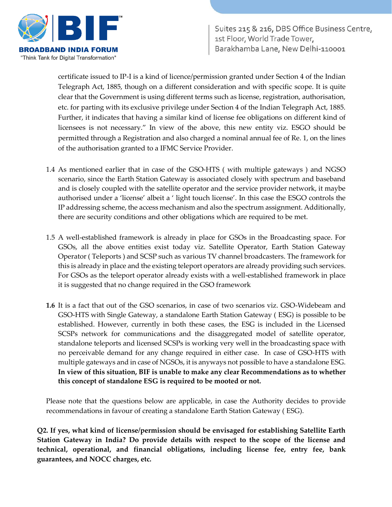

certificate issued to IP-I is a kind of licence/permission granted under Section 4 of the Indian Telegraph Act, 1885, though on a different consideration and with specific scope. It is quite clear that the Government is using different terms such as license, registration, authorisation, etc. for parting with its exclusive privilege under Section 4 of the Indian Telegraph Act, 1885. Further, it indicates that having a similar kind of license fee obligations on different kind of licensees is not necessary." In view of the above, this new entity viz. ESGO should be permitted through a Registration and also charged a nominal annual fee of Re. 1, on the lines of the authorisation granted to a IFMC Service Provider.

- 1.4 As mentioned earlier that in case of the GSO-HTS ( with multiple gateways ) and NGSO scenario, since the Earth Station Gateway is associated closely with spectrum and baseband and is closely coupled with the satellite operator and the service provider network, it maybe authorised under a 'license' albeit a ' light touch license'. In this case the ESGO controls the IP addressing scheme, the access mechanism and also the spectrum assignment. Additionally, there are security conditions and other obligations which are required to be met.
- 1.5 A well-established framework is already in place for GSOs in the Broadcasting space. For GSOs, all the above entities exist today viz. Satellite Operator, Earth Station Gateway Operator ( Teleports ) and SCSP such as various TV channel broadcasters. The framework for this is already in place and the existing teleport operators are already providing such services. For GSOs as the teleport operator already exists with a well-established framework in place it is suggested that no change required in the GSO framework
- **1.6** It is a fact that out of the GSO scenarios, in case of two scenarios viz. GSO-Widebeam and GSO-HTS with Single Gateway, a standalone Earth Station Gateway ( ESG) is possible to be established. However, currently in both these cases, the ESG is included in the Licensed SCSPs network for communications and the disaggregated model of satellite operator, standalone teleports and licensed SCSPs is working very well in the broadcasting space with no perceivable demand for any change required in either case. In case of GSO-HTS with multiple gateways and in case of NGSOs, it is anyways not possible to have a standalone ESG. **In view of this situation, BIF is unable to make any clear Recommendations as to whether this concept of standalone ESG is required to be mooted or not.**

Please note that the questions below are applicable, in case the Authority decides to provide recommendations in favour of creating a standalone Earth Station Gateway ( ESG).

**Q2. If yes, what kind of license/permission should be envisaged for establishing Satellite Earth Station Gateway in India? Do provide details with respect to the scope of the license and technical, operational, and financial obligations, including license fee, entry fee, bank guarantees, and NOCC charges, etc.**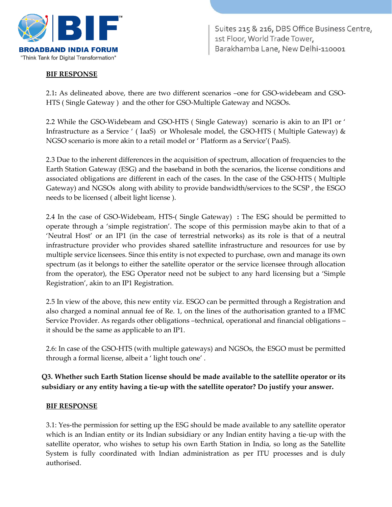

# **BIF RESPONSE**

2.1**:** As delineated above, there are two different scenarios –one for GSO-widebeam and GSO-HTS ( Single Gateway ) and the other for GSO-Multiple Gateway and NGSOs.

2.2 While the GSO-Widebeam and GSO-HTS ( Single Gateway) scenario is akin to an IP1 or ' Infrastructure as a Service ' ( IaaS) or Wholesale model, the GSO-HTS ( Multiple Gateway) & NGSO scenario is more akin to a retail model or ' Platform as a Service'( PaaS).

2.3 Due to the inherent differences in the acquisition of spectrum, allocation of frequencies to the Earth Station Gateway (ESG) and the baseband in both the scenarios, the license conditions and associated obligations are different in each of the cases. In the case of the GSO-HTS ( Multiple Gateway) and NGSOs along with ability to provide bandwidth/services to the SCSP , the ESGO needs to be licensed ( albeit light license ).

2.4 In the case of GSO-Widebeam, HTS-( Single Gateway) **:** The ESG should be permitted to operate through a 'simple registration'. The scope of this permission maybe akin to that of a 'Neutral Host' or an IP1 (in the case of terrestrial networks) as its role is that of a neutral infrastructure provider who provides shared satellite infrastructure and resources for use by multiple service licensees. Since this entity is not expected to purchase, own and manage its own spectrum (as it belongs to either the satellite operator or the service licensee through allocation from the operator), the ESG Operator need not be subject to any hard licensing but a 'Simple Registration', akin to an IP1 Registration.

2.5 In view of the above, this new entity viz. ESGO can be permitted through a Registration and also charged a nominal annual fee of Re. 1, on the lines of the authorisation granted to a IFMC Service Provider. As regards other obligations –technical, operational and financial obligations – it should be the same as applicable to an IP1.

2.6: In case of the GSO-HTS (with multiple gateways) and NGSOs, the ESGO must be permitted through a formal license, albeit a ' light touch one' .

# **Q3. Whether such Earth Station license should be made available to the satellite operator or its subsidiary or any entity having a tie-up with the satellite operator? Do justify your answer.**

#### **BIF RESPONSE**

3.1: Yes-the permission for setting up the ESG should be made available to any satellite operator which is an Indian entity or its Indian subsidiary or any Indian entity having a tie-up with the satellite operator, who wishes to setup his own Earth Station in India, so long as the Satellite System is fully coordinated with Indian administration as per ITU processes and is duly authorised.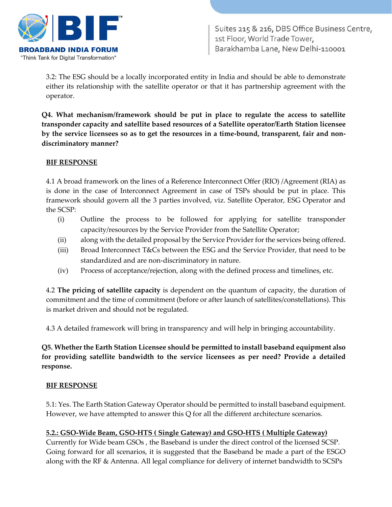

3.2: The ESG should be a locally incorporated entity in India and should be able to demonstrate either its relationship with the satellite operator or that it has partnership agreement with the operator.

**Q4. What mechanism/framework should be put in place to regulate the access to satellite transponder capacity and satellite based resources of a Satellite operator/Earth Station licensee by the service licensees so as to get the resources in a time-bound, transparent, fair and nondiscriminatory manner?** 

#### **BIF RESPONSE**

4.1 A broad framework on the lines of a Reference Interconnect Offer (RIO) /Agreement (RIA) as is done in the case of Interconnect Agreement in case of TSPs should be put in place. This framework should govern all the 3 parties involved, viz. Satellite Operator, ESG Operator and the SCSP:

- (i) Outline the process to be followed for applying for satellite transponder capacity/resources by the Service Provider from the Satellite Operator;
- (ii) along with the detailed proposal by the Service Provider for the services being offered.
- (iii) Broad Interconnect T&Cs between the ESG and the Service Provider, that need to be standardized and are non-discriminatory in nature.
- (iv) Process of acceptance/rejection, along with the defined process and timelines, etc.

4.2 **The pricing of satellite capacity** is dependent on the quantum of capacity, the duration of commitment and the time of commitment (before or after launch of satellites/constellations). This is market driven and should not be regulated.

4.3 A detailed framework will bring in transparency and will help in bringing accountability.

**Q5. Whether the Earth Station Licensee should be permitted to install baseband equipment also for providing satellite bandwidth to the service licensees as per need? Provide a detailed response.** 

## **BIF RESPONSE**

5.1: Yes. The Earth Station Gateway Operator should be permitted to install baseband equipment. However, we have attempted to answer this Q for all the different architecture scenarios.

## **5.2.: GSO-Wide Beam, GSO-HTS ( Single Gateway) and GSO-HTS ( Multiple Gateway)**

Currently for Wide beam GSOs , the Baseband is under the direct control of the licensed SCSP. Going forward for all scenarios, it is suggested that the Baseband be made a part of the ESGO along with the RF & Antenna. All legal compliance for delivery of internet bandwidth to SCSPs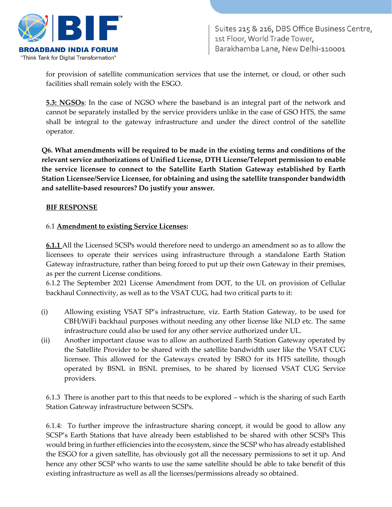

for provision of satellite communication services that use the internet, or cloud, or other such facilities shall remain solely with the ESGO.

**5.3: NGSOs**: In the case of NGSO where the baseband is an integral part of the network and cannot be separately installed by the service providers unlike in the case of GSO HTS, the same shall be integral to the gateway infrastructure and under the direct control of the satellite operator.

**Q6. What amendments will be required to be made in the existing terms and conditions of the relevant service authorizations of Unified License, DTH License/Teleport permission to enable the service licensee to connect to the Satellite Earth Station Gateway established by Earth Station Licensee/Service Licensee, for obtaining and using the satellite transponder bandwidth and satellite-based resources? Do justify your answer.** 

#### **BIF RESPONSE**

#### 6.1 **Amendment to existing Service Licenses:**

**6.1.1** All the Licensed SCSPs would therefore need to undergo an amendment so as to allow the licensees to operate their services using infrastructure through a standalone Earth Station Gateway infrastructure, rather than being forced to put up their own Gateway in their premises, as per the current License conditions.

6.1.2 The September 2021 License Amendment from DOT, to the UL on provision of Cellular backhaul Connectivity, as well as to the VSAT CUG, had two critical parts to it:

- (i) Allowing existing VSAT SP's infrastructure, viz. Earth Station Gateway, to be used for CBH/WiFi backhaul purposes without needing any other license like NLD etc. The same infrastructure could also be used for any other service authorized under UL.
- (ii) Another important clause was to allow an authorized Earth Station Gateway operated by the Satellite Provider to be shared with the satellite bandwidth user like the VSAT CUG licensee. This allowed for the Gateways created by ISRO for its HTS satellite, though operated by BSNL in BSNL premises, to be shared by licensed VSAT CUG Service providers.

6.1.3 There is another part to this that needs to be explored – which is the sharing of such Earth Station Gateway infrastructure between SCSPs.

6.1.4: To further improve the infrastructure sharing concept, it would be good to allow any SCSP's Earth Stations that have already been established to be shared with other SCSPs This would bring in further efficiencies into the ecosystem, since the SCSP who has already established the ESGO for a given satellite, has obviously got all the necessary permissions to set it up. And hence any other SCSP who wants to use the same satellite should be able to take benefit of this existing infrastructure as well as all the licenses/permissions already so obtained.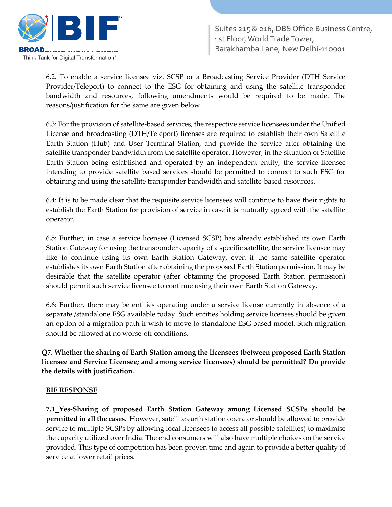

6.2. To enable a service licensee viz. SCSP or a Broadcasting Service Provider (DTH Service Provider/Teleport) to connect to the ESG for obtaining and using the satellite transponder bandwidth and resources, following amendments would be required to be made. The reasons/justification for the same are given below.

6.3: For the provision of satellite-based services, the respective service licensees under the Unified License and broadcasting (DTH/Teleport) licenses are required to establish their own Satellite Earth Station (Hub) and User Terminal Station, and provide the service after obtaining the satellite transponder bandwidth from the satellite operator. However, in the situation of Satellite Earth Station being established and operated by an independent entity, the service licensee intending to provide satellite based services should be permitted to connect to such ESG for obtaining and using the satellite transponder bandwidth and satellite-based resources.

6.4: It is to be made clear that the requisite service licensees will continue to have their rights to establish the Earth Station for provision of service in case it is mutually agreed with the satellite operator.

6.5: Further, in case a service licensee (Licensed SCSP) has already established its own Earth Station Gateway for using the transponder capacity of a specific satellite, the service licensee may like to continue using its own Earth Station Gateway, even if the same satellite operator establishes its own Earth Station after obtaining the proposed Earth Station permission. It may be desirable that the satellite operator (after obtaining the proposed Earth Station permission) should permit such service licensee to continue using their own Earth Station Gateway.

6.6: Further, there may be entities operating under a service license currently in absence of a separate /standalone ESG available today. Such entities holding service licenses should be given an option of a migration path if wish to move to standalone ESG based model. Such migration should be allowed at no worse-off conditions.

**Q7. Whether the sharing of Earth Station among the licensees (between proposed Earth Station licensee and Service Licensee; and among service licensees) should be permitted? Do provide the details with justification.** 

#### **BIF RESPONSE**

**7.1 Yes-Sharing of proposed Earth Station Gateway among Licensed SCSPs should be permitted in all the cases.** However, satellite earth station operator should be allowed to provide service to multiple SCSPs by allowing local licensees to access all possible satellites) to maximise the capacity utilized over India. The end consumers will also have multiple choices on the service provided. This type of competition has been proven time and again to provide a better quality of service at lower retail prices.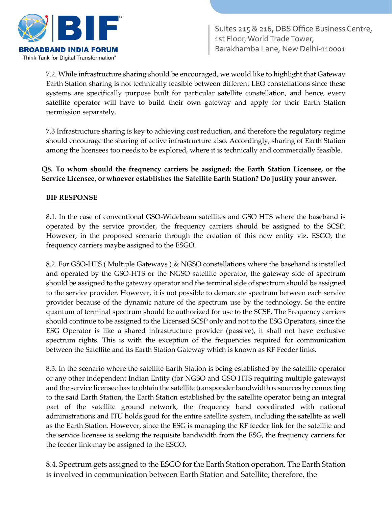

7.2. While infrastructure sharing should be encouraged, we would like to highlight that Gateway Earth Station sharing is not technically feasible between different LEO constellations since these systems are specifically purpose built for particular satellite constellation, and hence, every satellite operator will have to build their own gateway and apply for their Earth Station permission separately.

7.3 Infrastructure sharing is key to achieving cost reduction, and therefore the regulatory regime should encourage the sharing of active infrastructure also. Accordingly, sharing of Earth Station among the licensees too needs to be explored, where it is technically and commercially feasible.

# **Q8. To whom should the frequency carriers be assigned: the Earth Station Licensee, or the Service Licensee, or whoever establishes the Satellite Earth Station? Do justify your answer.**

#### **BIF RESPONSE**

8.1. In the case of conventional GSO-Widebeam satellites and GSO HTS where the baseband is operated by the service provider, the frequency carriers should be assigned to the SCSP. However, in the proposed scenario through the creation of this new entity viz. ESGO, the frequency carriers maybe assigned to the ESGO.

8.2. For GSO-HTS ( Multiple Gateways ) & NGSO constellations where the baseband is installed and operated by the GSO-HTS or the NGSO satellite operator, the gateway side of spectrum should be assigned to the gateway operator and the terminal side of spectrum should be assigned to the service provider. However, it is not possible to demarcate spectrum between each service provider because of the dynamic nature of the spectrum use by the technology. So the entire quantum of terminal spectrum should be authorized for use to the SCSP. The Frequency carriers should continue to be assigned to the Licensed SCSP only and not to the ESG Operators, since the ESG Operator is like a shared infrastructure provider (passive), it shall not have exclusive spectrum rights. This is with the exception of the frequencies required for communication between the Satellite and its Earth Station Gateway which is known as RF Feeder links.

8.3. In the scenario where the satellite Earth Station is being established by the satellite operator or any other independent Indian Entity (for NGSO and GSO HTS requiring multiple gateways) and the service licensee has to obtain the satellite transponder bandwidth resources by connecting to the said Earth Station, the Earth Station established by the satellite operator being an integral part of the satellite ground network, the frequency band coordinated with national administrations and ITU holds good for the entire satellite system, including the satellite as well as the Earth Station. However, since the ESG is managing the RF feeder link for the satellite and the service licensee is seeking the requisite bandwidth from the ESG, the frequency carriers for the feeder link may be assigned to the ESGO.

8.4. Spectrum gets assigned to the ESGO for the Earth Station operation. The Earth Station is involved in communication between Earth Station and Satellite; therefore, the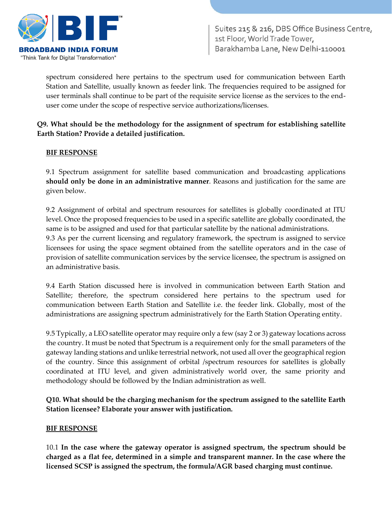

spectrum considered here pertains to the spectrum used for communication between Earth Station and Satellite, usually known as feeder link. The frequencies required to be assigned for user terminals shall continue to be part of the requisite service license as the services to the enduser come under the scope of respective service authorizations/licenses.

## **Q9. What should be the methodology for the assignment of spectrum for establishing satellite Earth Station? Provide a detailed justification.**

## **BIF RESPONSE**

9.1 Spectrum assignment for satellite based communication and broadcasting applications **should only be done in an administrative manner**. Reasons and justification for the same are given below.

9.2 Assignment of orbital and spectrum resources for satellites is globally coordinated at ITU level. Once the proposed frequencies to be used in a specific satellite are globally coordinated, the same is to be assigned and used for that particular satellite by the national administrations. 9.3 As per the current licensing and regulatory framework, the spectrum is assigned to service licensees for using the space segment obtained from the satellite operators and in the case of provision of satellite communication services by the service licensee, the spectrum is assigned on an administrative basis.

9.4 Earth Station discussed here is involved in communication between Earth Station and Satellite; therefore, the spectrum considered here pertains to the spectrum used for communication between Earth Station and Satellite i.e. the feeder link. Globally, most of the administrations are assigning spectrum administratively for the Earth Station Operating entity.

9.5 Typically, a LEO satellite operator may require only a few (say 2 or 3) gateway locations across the country. It must be noted that Spectrum is a requirement only for the small parameters of the gateway landing stations and unlike terrestrial network, not used all over the geographical region of the country. Since this assignment of orbital /spectrum resources for satellites is globally coordinated at ITU level, and given administratively world over, the same priority and methodology should be followed by the Indian administration as well.

**Q10. What should be the charging mechanism for the spectrum assigned to the satellite Earth Station licensee? Elaborate your answer with justification.** 

#### **BIF RESPONSE**

10.1 **In the case where the gateway operator is assigned spectrum, the spectrum should be charged as a flat fee, determined in a simple and transparent manner. In the case where the licensed SCSP is assigned the spectrum, the formula/AGR based charging must continue.**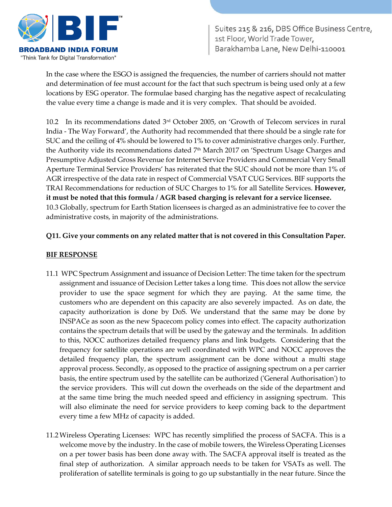

In the case where the ESGO is assigned the frequencies, the number of carriers should not matter and determination of fee must account for the fact that such spectrum is being used only at a few locations by ESG operator. The formulae based charging has the negative aspect of recalculating the value every time a change is made and it is very complex. That should be avoided.

10.2 In its recommendations dated 3rd October 2005, on 'Growth of Telecom services in rural India - The Way Forward', the Authority had recommended that there should be a single rate for SUC and the ceiling of 4% should be lowered to 1% to cover administrative charges only. Further, the Authority vide its recommendations dated  $7<sup>th</sup>$  March 2017 on 'Spectrum Usage Charges and Presumptive Adjusted Gross Revenue for Internet Service Providers and Commercial Very Small Aperture Terminal Service Providers' has reiterated that the SUC should not be more than 1% of AGR irrespective of the data rate in respect of Commercial VSAT CUG Services. BIF supports the TRAI Recommendations for reduction of SUC Charges to 1% for all Satellite Services. **However, it must be noted that this formula / AGR based charging is relevant for a service licensee.**  10.3 Globally, spectrum for Earth Station licensees is charged as an administrative fee to cover the administrative costs, in majority of the administrations.

# **Q11. Give your comments on any related matter that is not covered in this Consultation Paper.**

## **BIF RESPONSE**

- 11.1 WPC Spectrum Assignment and issuance of Decision Letter: The time taken for the spectrum assignment and issuance of Decision Letter takes a long time. This does not allow the service provider to use the space segment for which they are paying. At the same time, the customers who are dependent on this capacity are also severely impacted. As on date, the capacity authorization is done by DoS. We understand that the same may be done by INSPACe as soon as the new Spacecom policy comes into effect. The capacity authorization contains the spectrum details that will be used by the gateway and the terminals. In addition to this, NOCC authorizes detailed frequency plans and link budgets. Considering that the frequency for satellite operations are well coordinated with WPC and NOCC approves the detailed frequency plan, the spectrum assignment can be done without a multi stage approval process. Secondly, as opposed to the practice of assigning spectrum on a per carrier basis, the entire spectrum used by the satellite can be authorized ('General Authorisation') to the service providers. This will cut down the overheads on the side of the department and at the same time bring the much needed speed and efficiency in assigning spectrum. This will also eliminate the need for service providers to keep coming back to the department every time a few MHz of capacity is added.
- 11.2Wireless Operating Licenses: WPC has recently simplified the process of SACFA. This is a welcome move by the industry. In the case of mobile towers, the Wireless Operating Licenses on a per tower basis has been done away with. The SACFA approval itself is treated as the final step of authorization. A similar approach needs to be taken for VSATs as well. The proliferation of satellite terminals is going to go up substantially in the near future. Since the